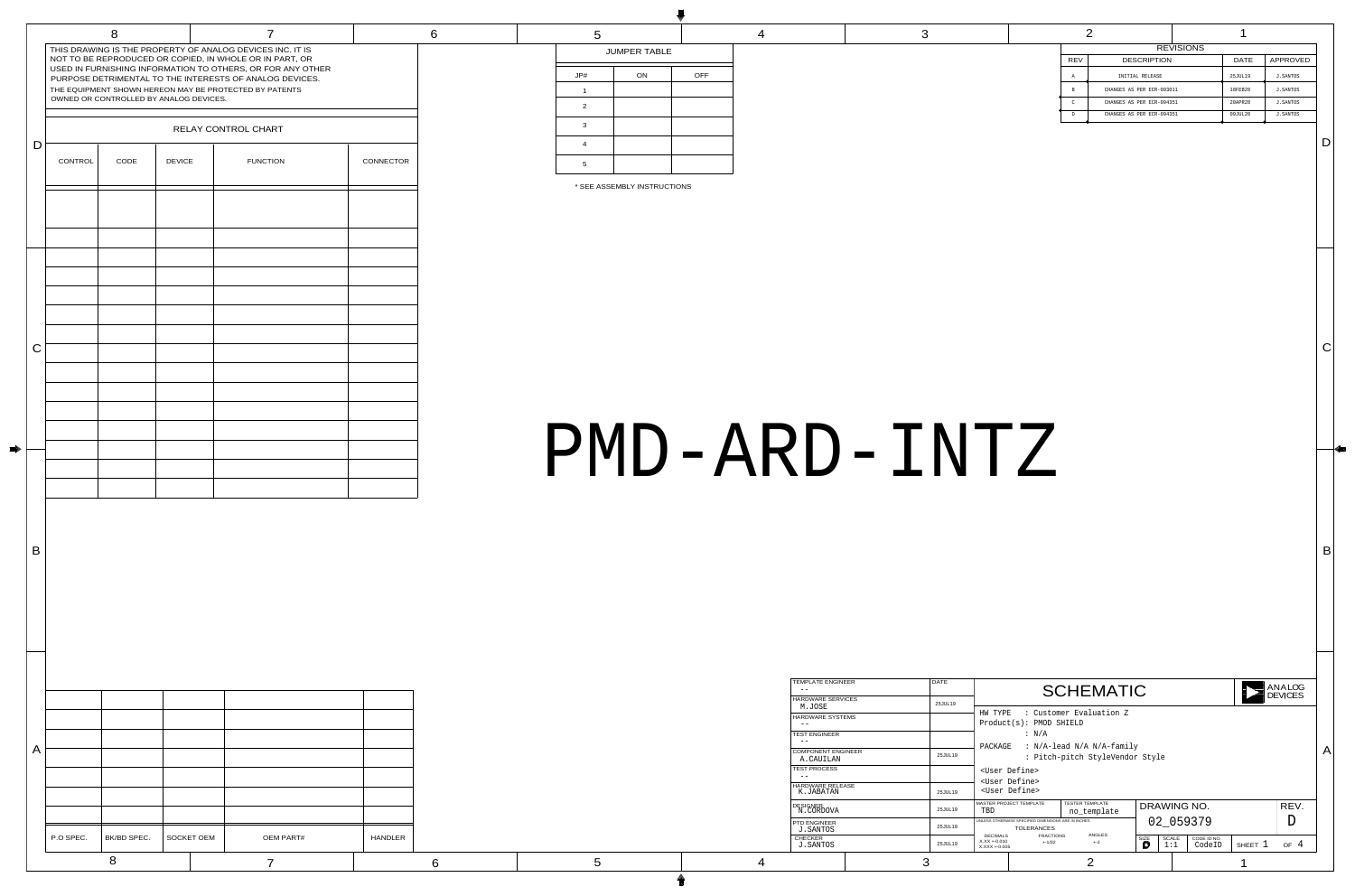# PMD-ARD-INTZ

4 3

|               | <b>REVISIONS</b>          |  |             |                 |  |  |  |  |  |
|---------------|---------------------------|--|-------------|-----------------|--|--|--|--|--|
| <b>REV</b>    | <b>DESCRIPTION</b>        |  | <b>DATE</b> | <b>APPROVED</b> |  |  |  |  |  |
| Α             | INITIAL RELEASE           |  | 25JUL19     | J.SANTOS        |  |  |  |  |  |
| $\mathbf B$   | CHANGES AS PER ECR-093011 |  | 18FEB20     | J. SANTOS       |  |  |  |  |  |
| $\mathcal{C}$ | CHANGES AS PER ECR-094351 |  | 20APR20     | <b>J.SANTOS</b> |  |  |  |  |  |
| D             | CHANGES AS PER ECR-094351 |  | 09JUL20     | J.SANTOS        |  |  |  |  |  |
|               |                           |  |             |                 |  |  |  |  |  |

| <b>TEMPLATE ENGINEER</b>                   | <b>DATE</b> | ANALOG<br><b>SCHEMATIC</b><br><b>DEVICES</b>                                                                                                                                                                          |
|--------------------------------------------|-------------|-----------------------------------------------------------------------------------------------------------------------------------------------------------------------------------------------------------------------|
| <b>HARDWARE SERVICES</b><br>M.JOSE         | 25JUL19     |                                                                                                                                                                                                                       |
| <b>HARDWARE SYSTEMS</b>                    |             | : Customer Evaluation Z<br>HW TYPE<br>$Product(s): PMOD$ SHIELD                                                                                                                                                       |
| <b>TEST ENGINEER</b><br>$- -$              |             | : N/A<br>PACKAGE<br>: N/A-lead N/A N/A-family                                                                                                                                                                         |
| <b>COMPONENT ENGINEER</b><br>A.CAUILAN     | 25JUL19     | : Pitch-pitch StyleVendor Style                                                                                                                                                                                       |
| <b>TEST PROCESS</b>                        |             | <user define=""><br/><user define=""></user></user>                                                                                                                                                                   |
| HARDWARE RELEASE<br>K.JABATAN              | 25JUL19     | <user define=""></user>                                                                                                                                                                                               |
| <b>DESIGNER</b><br>N.CORDOVA               | 25JUL19     | MASTER PROJECT TEMPLATE<br><b>TESTER TEMPLATE</b><br>REV.<br>DRAWING NO.<br>TBD<br>no_template                                                                                                                        |
| <b>PTD ENGINEER</b><br>25JUL19<br>J.SANTOS |             | 02 059379<br>UNLESS OTHERWISE SPECIFIED DIMENSIONS ARE IN INCHES<br><b>TOLERANCES</b>                                                                                                                                 |
| <b>CHECKER</b><br>J.SANTOS                 | 25JUL19     | <b>ANGLES</b><br><b>DECIMALS</b><br><b>FRACTIONS</b><br><b>SIZE</b><br><b>SCALE</b><br>CODE ID NO.<br>$X.XX + 0.010$<br>$+ -2$<br>$+1/32$<br>$\overline{4}$<br>D<br>SHEET 1<br>OF<br>1:1<br>CodeID<br>$X.XXX + 0.005$ |
|                                            | 3           | 2                                                                                                                                                                                                                     |

| <b>TEMPLATE ENGINEER</b>               | <b>DATE</b> |
|----------------------------------------|-------------|
| <b>HARDWARE SERVICES</b><br>M.JOSE     | 25JUL19     |
| <b>HARDWARE SYSTEMS</b>                |             |
| <b>TEST ENGINEER</b>                   |             |
| <b>COMPONENT ENGINEER</b><br>A.CAUILAN | 25JUL19     |
| <b>TEST PROCESS</b>                    |             |
| <b>HARDWARE RELEASE</b><br>K.JABATAN   | 25JUL19     |
| <b>DESIGNER</b><br>N.CORDOVA           | 25JUL19     |
| <b>PTD ENGINEER</b><br><b>J.SANTOS</b> | 25JUL19     |
| <b>CHECKER</b><br><b>J.SANTOS</b>      | 25JUL19     |
|                                        |             |

|              | P.O SPEC. | BK/BD SPEC. | <b>SOCKET OEM</b>                      | <b>OEM PART#</b>                                                                                                      | <b>HANDLER</b> |                                |
|--------------|-----------|-------------|----------------------------------------|-----------------------------------------------------------------------------------------------------------------------|----------------|--------------------------------|
| $\mathsf{A}$ |           |             |                                        |                                                                                                                       |                |                                |
| B            |           |             |                                        |                                                                                                                       |                |                                |
|              |           |             |                                        |                                                                                                                       |                |                                |
|              |           |             |                                        |                                                                                                                       |                |                                |
| $\mathsf C$  |           |             |                                        |                                                                                                                       |                |                                |
|              |           |             |                                        |                                                                                                                       |                |                                |
|              | CONTROL   | CODE        | <b>DEVICE</b>                          | <b>FUNCTION</b>                                                                                                       | CONNECTOR      | $5\overline{)}$<br>* SEE A     |
| $\mathsf D$  |           |             |                                        | RELAY CONTROL CHART                                                                                                   |                | $\mathbf{3}$<br>$\overline{4}$ |
|              |           |             | OWNED OR CONTROLLED BY ANALOG DEVICES. | THE EQUIPMENT SHOWN HEREON MAY BE PROTECTED BY PATENTS                                                                |                | $\overline{2}$                 |
|              |           |             |                                        | USED IN FURNISHING INFORMATION TO OTHERS, OR FOR ANY OTHER<br>PURPOSE DETRIMENTAL TO THE INTERESTS OF ANALOG DEVICES. |                | JP#                            |

D

 $\vert$  B

|                |                     | W          |
|----------------|---------------------|------------|
| 5              |                     |            |
|                | <b>JUMPER TABLE</b> |            |
| JP#            | ON                  | <b>OFF</b> |
| 1              |                     |            |
| 2              |                     |            |
| 3              |                     |            |
| $\overline{4}$ |                     |            |
| 5              |                     |            |

C

\* SEE ASSEMBLY INSTRUCTIONS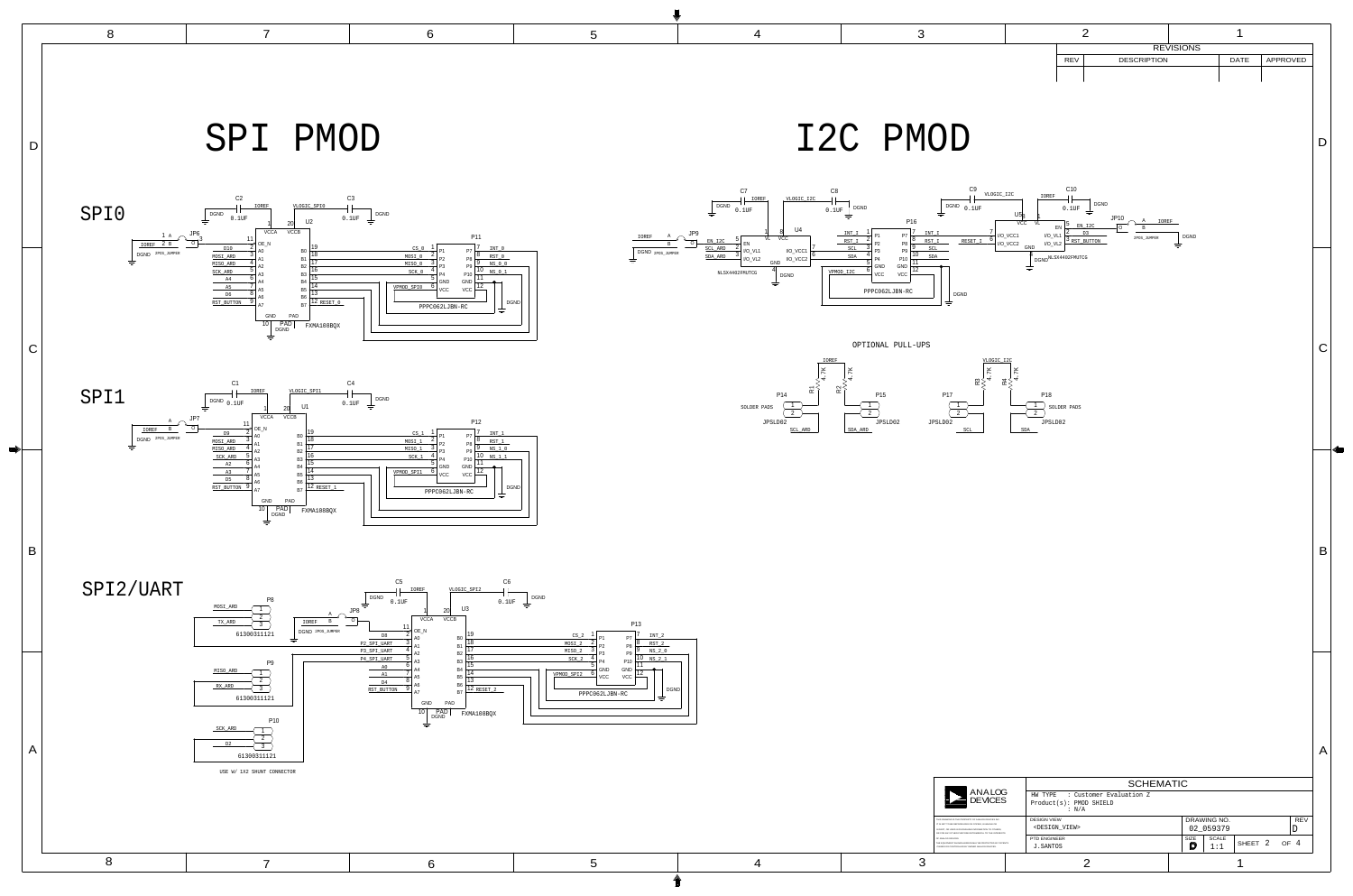







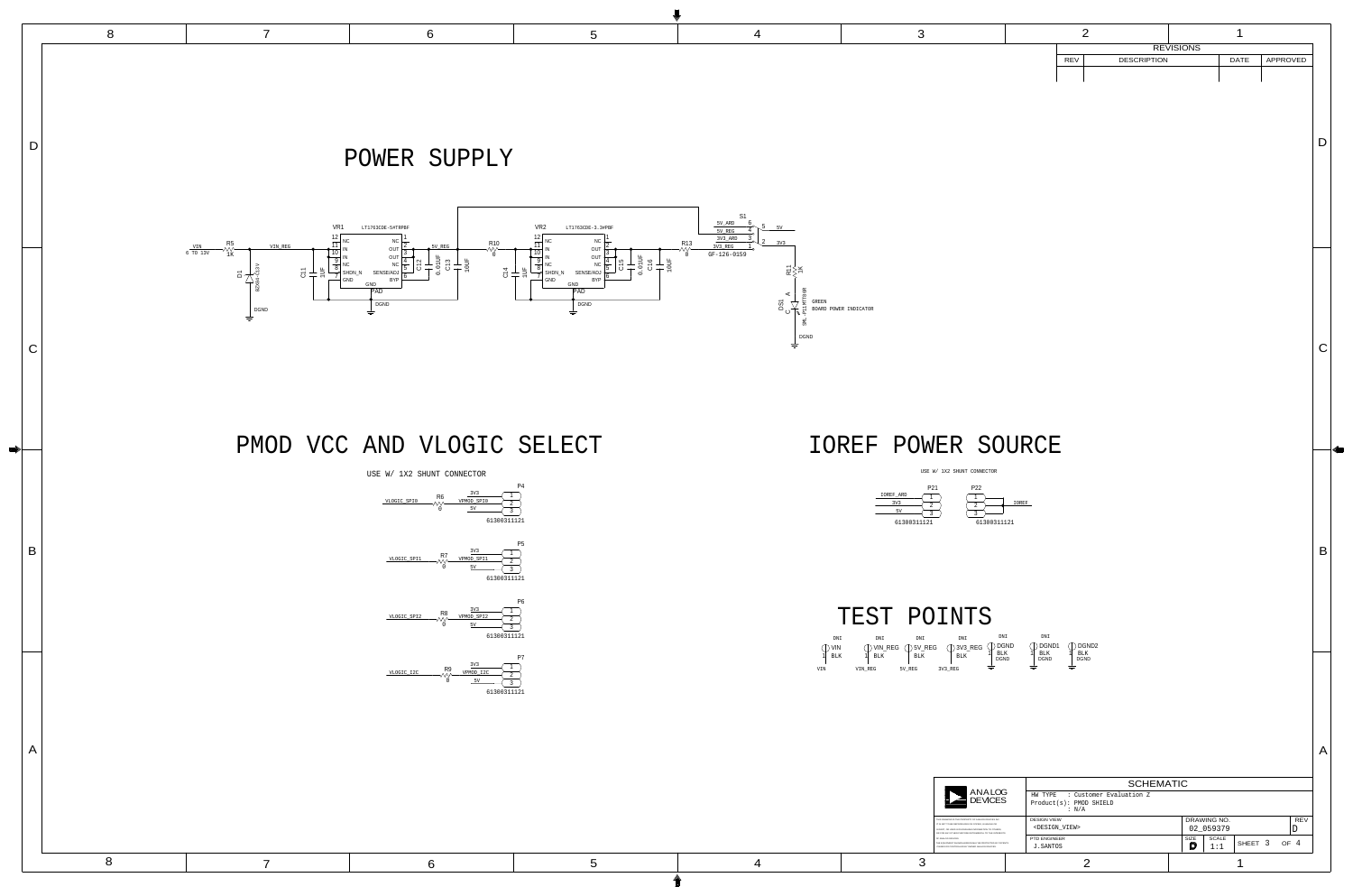DNI DNI  $1 \text{ BLK}$   $1 \text{ BLK}$   $1 \text{ BLK}$ 

DNI

BLK<br>20.U DGND DGND DGND

61300311121 P<sub>22</sub> 3 2 1



|                                                                                                                                                                                                                            | <b>SCHEMATIC</b>                                                         |                                                                    |
|----------------------------------------------------------------------------------------------------------------------------------------------------------------------------------------------------------------------------|--------------------------------------------------------------------------|--------------------------------------------------------------------|
| ANALOG<br><b>DEVICES</b>                                                                                                                                                                                                   | : Customer Evaluation Z<br>HW TYPE<br>$Product(s): PMOD$ SHIELD<br>: N/A |                                                                    |
| THIS DRAWING IS THE PROPERTY OF ANALOG DEVICES INC.<br>IT IS NOT TO BE REPRODUCED OR COPIED. IN WHOLE OR<br>IN PART, OR USED IN FURNISHING INFORMATION TO OTHERS.<br>OR FOR ANY OTHER PURPOSE DETRIMENTAL TO THE INTERESTS | <b>DESIGN VIEW</b><br><design_view></design_view>                        | <b>REV</b><br>DRAWING NO.<br>02_059379                             |
| OF ANALOG DEVICES.<br>THE EQUIPMENT SHOWN HEREON MAY BE PROTECTED BY PATENTS<br>OWNED OR CONTROLLED BY OWNED ANALOG DEVICES.                                                                                               | <b>PTD ENGINEER</b><br>J.SANTOS                                          | <b>SIZE</b><br><b>SCALE</b><br>SHEET <sub>3</sub><br>OF $4$<br>1:1 |
|                                                                                                                                                                                                                            |                                                                          |                                                                    |

A

|                 | P <sub>21</sub> |
|-----------------|-----------------|
| IOREF ARD       |                 |
| 3V <sub>3</sub> |                 |
| 57              |                 |
|                 |                 |
| 61300311121     |                 |

D

4

 $\begin{array}{|c|c|c|c|c|}\n\hline\n5 & 4 & 3 \\
\hline\n\end{array}$ 

B

|            |  | <b>REVISIONS</b>   |  |          |
|------------|--|--------------------|--|----------|
| <b>REV</b> |  | <b>DESCRIPTION</b> |  | APPROVED |
|            |  |                    |  |          |
|            |  |                    |  |          |
|            |  |                    |  |          |